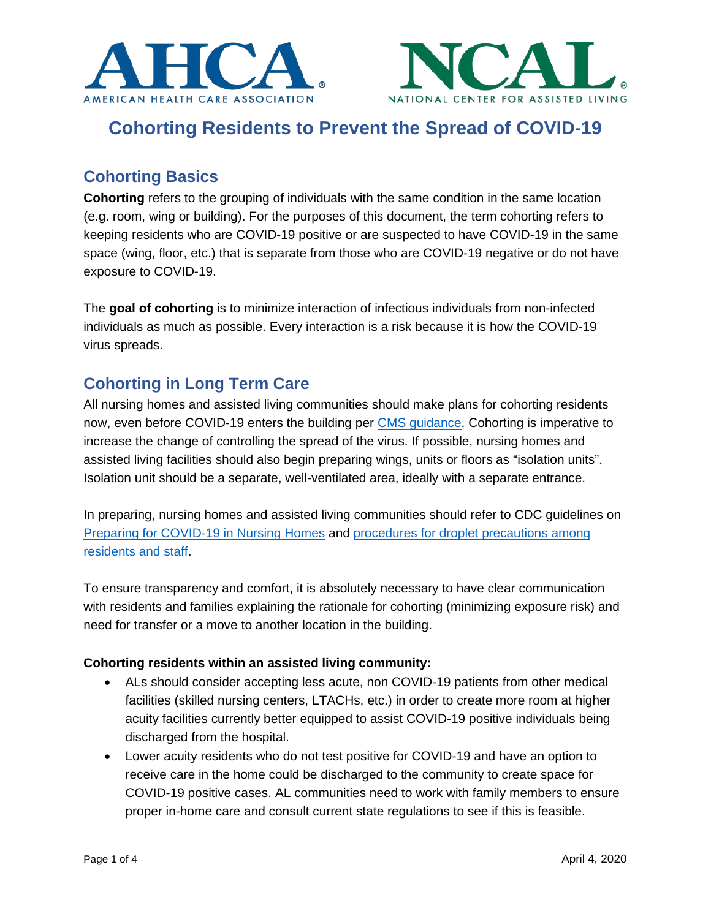



# **Cohorting Residents to Prevent the Spread of COVID-19**

## **Cohorting Basics**

**Cohorting** refers to the grouping of individuals with the same condition in the same location (e.g. room, wing or building). For the purposes of this document, the term cohorting refers to keeping residents who are COVID-19 positive or are suspected to have COVID-19 in the same space (wing, floor, etc.) that is separate from those who are COVID-19 negative or do not have exposure to COVID-19.

The **goal of cohorting** is to minimize interaction of infectious individuals from non-infected individuals as much as possible. Every interaction is a risk because it is how the COVID-19 virus spreads.

### **Cohorting in Long Term Care**

All nursing homes and assisted living communities should make plans for cohorting residents now, even before COVID-19 enters the building per CMS guidance. Cohorting is imperative to increase the change of controlling the spread of the virus. If possible, nursing homes and assisted living facilities should also begin preparing wings, units or floors as "isolation units". Isolation unit should be a separate, well-ventilated area, ideally with a separate entrance.

In preparing, nursing homes and assisted living communities should refer to CDC guidelines on Preparing for COVID-19 in Nursing Homes and procedures for droplet precautions among residents and staff.

To ensure transparency and comfort, it is absolutely necessary to have clear communication with residents and families explaining the rationale for cohorting (minimizing exposure risk) and need for transfer or a move to another location in the building.

#### **Cohorting residents within an assisted living community:**

- ALs should consider accepting less acute, non COVID-19 patients from other medical facilities (skilled nursing centers, LTACHs, etc.) in order to create more room at higher acuity facilities currently better equipped to assist COVID-19 positive individuals being discharged from the hospital.
- Lower acuity residents who do not test positive for COVID-19 and have an option to receive care in the home could be discharged to the community to create space for COVID-19 positive cases. AL communities need to work with family members to ensure proper in-home care and consult current state regulations to see if this is feasible.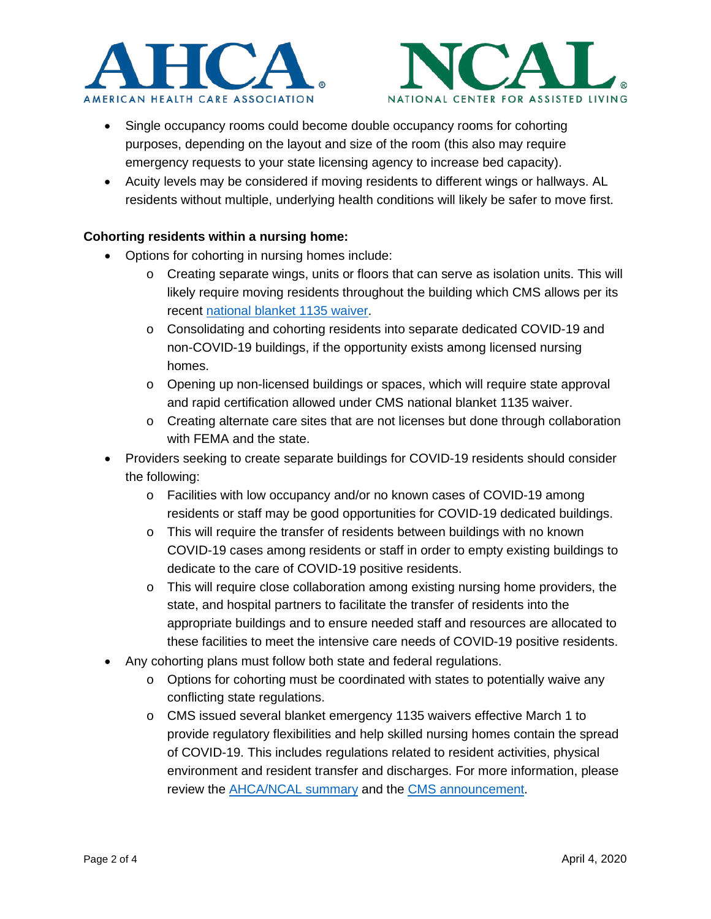



- Single occupancy rooms could become double occupancy rooms for cohorting purposes, depending on the layout and size of the room (this also may require emergency requests to your state licensing agency to increase bed capacity).
- Acuity levels may be considered if moving residents to different wings or hallways. AL residents without multiple, underlying health conditions will likely be safer to move first.

#### **Cohorting residents within a nursing home:**

- Options for cohorting in nursing homes include:
	- $\circ$  Creating separate wings, units or floors that can serve as isolation units. This will likely require moving residents throughout the building which CMS allows per its recent national blanket 1135 waiver.
	- o Consolidating and cohorting residents into separate dedicated COVID-19 and non-COVID-19 buildings, if the opportunity exists among licensed nursing homes.
	- o Opening up non-licensed buildings or spaces, which will require state approval and rapid certification allowed under CMS national blanket 1135 waiver.
	- o Creating alternate care sites that are not licenses but done through collaboration with FEMA and the state.
- Providers seeking to create separate buildings for COVID-19 residents should consider the following:
	- o Facilities with low occupancy and/or no known cases of COVID-19 among residents or staff may be good opportunities for COVID-19 dedicated buildings.
	- $\circ$  This will require the transfer of residents between buildings with no known COVID-19 cases among residents or staff in order to empty existing buildings to dedicate to the care of COVID-19 positive residents.
	- o This will require close collaboration among existing nursing home providers, the state, and hospital partners to facilitate the transfer of residents into the appropriate buildings and to ensure needed staff and resources are allocated to these facilities to meet the intensive care needs of COVID-19 positive residents.
- Any cohorting plans must follow both state and federal regulations.
	- $\circ$  Options for cohorting must be coordinated with states to potentially waive any conflicting state regulations.
	- o CMS issued several blanket emergency 1135 waivers effective March 1 to provide regulatory flexibilities and help skilled nursing homes contain the spread of COVID-19. This includes regulations related to resident activities, physical environment and resident transfer and discharges. For more information, please review the **AHCA/NCAL** summary and the CMS announcement.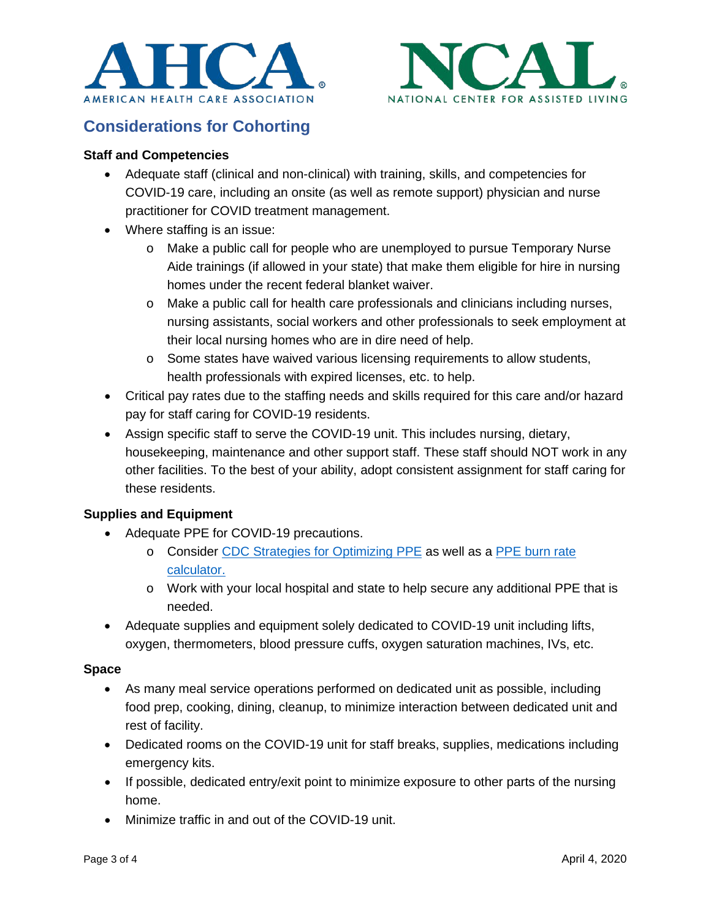



### **Considerations for Cohorting**

#### **Staff and Competencies**

- Adequate staff (clinical and non-clinical) with training, skills, and competencies for COVID-19 care, including an onsite (as well as remote support) physician and nurse practitioner for COVID treatment management.
- Where staffing is an issue:
	- o Make a public call for people who are unemployed to pursue Temporary Nurse Aide trainings (if allowed in your state) that make them eligible for hire in nursing homes under the recent federal blanket waiver.
	- o Make a public call for health care professionals and clinicians including nurses, nursing assistants, social workers and other professionals to seek employment at their local nursing homes who are in dire need of help.
	- o Some states have waived various licensing requirements to allow students, health professionals with expired licenses, etc. to help.
- Critical pay rates due to the staffing needs and skills required for this care and/or hazard pay for staff caring for COVID-19 residents.
- Assign specific staff to serve the COVID-19 unit. This includes nursing, dietary, housekeeping, maintenance and other support staff. These staff should NOT work in any other facilities. To the best of your ability, adopt consistent assignment for staff caring for these residents.

#### **Supplies and Equipment**

- Adequate PPE for COVID-19 precautions.
	- o Consider CDC Strategies for Optimizing PPE as well as a PPE burn rate calculator.
	- o Work with your local hospital and state to help secure any additional PPE that is needed.
- Adequate supplies and equipment solely dedicated to COVID-19 unit including lifts, oxygen, thermometers, blood pressure cuffs, oxygen saturation machines, IVs, etc.

#### **Space**

- As many meal service operations performed on dedicated unit as possible, including food prep, cooking, dining, cleanup, to minimize interaction between dedicated unit and rest of facility.
- Dedicated rooms on the COVID-19 unit for staff breaks, supplies, medications including emergency kits.
- If possible, dedicated entry/exit point to minimize exposure to other parts of the nursing home.
- Minimize traffic in and out of the COVID-19 unit.